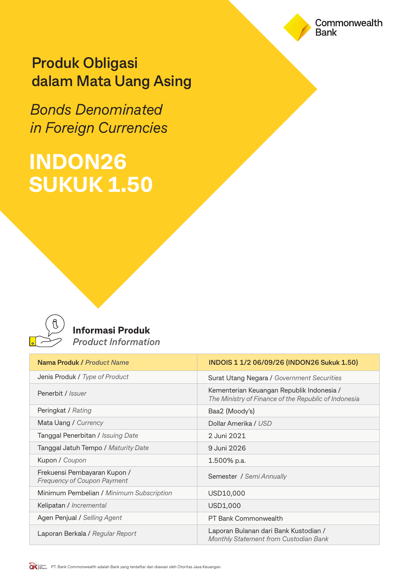## **Produk Obligasi dalam Mata Uang Asing**

*Bonds Denominated in Foreign Currencies*

# **INDON26 SUKUK 1.50**



### **Informasi Produk** *Product Information*

| Nama Produk / Product Name                                         | INDOIS 1 1/2 06/09/26 (INDON26 Sukuk 1.50)                                                        |
|--------------------------------------------------------------------|---------------------------------------------------------------------------------------------------|
| Jenis Produk / Type of Product                                     | Surat Utang Negara / Government Securities                                                        |
| Penerbit / <i>Issuer</i>                                           | Kementerian Keuangan Republik Indonesia /<br>The Ministry of Finance of the Republic of Indonesia |
| Peringkat / Rating                                                 | Baa2 (Moody's)                                                                                    |
| Mata Uang / Currency                                               | Dollar Amerika / USD                                                                              |
| Tanggal Penerbitan / Issuing Date                                  | 2 Juni 2021                                                                                       |
| Tanggal Jatuh Tempo / Maturity Date                                | 9 Juni 2026                                                                                       |
| Kupon / Coupon                                                     | 1.500% p.a.                                                                                       |
| Frekuensi Pembayaran Kupon /<br><b>Frequency of Coupon Payment</b> | Semester / Semi Annually                                                                          |
| Minimum Pembelian / Minimum Subscription                           | USD10,000                                                                                         |
| Kelipatan / Incremental                                            | USD1,000                                                                                          |
| Agen Penjual / Selling Agent                                       | PT Bank Commonwealth                                                                              |
| Laporan Berkala / Regular Report                                   | Laporan Bulanan dari Bank Kustodian /<br>Monthly Statement from Custodian Bank                    |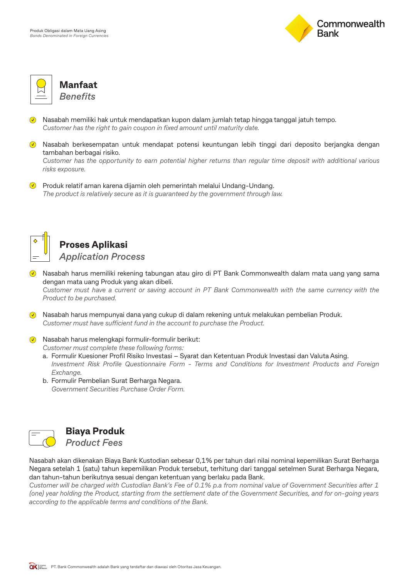



**Manfaat** *Benefits*

- Nasabah memiliki hak untuk mendapatkan kupon dalam jumlah tetap hingga tanggal jatuh tempo. *Customer has the right to gain coupon in fixed amount until maturity date.*
- Nasabah berkesempatan untuk mendapat potensi keuntungan lebih tinggi dari deposito berjangka dengan tambahan berbagai risiko.

*Customer has the opportunity to earn potential higher returns than regular time deposit with additional various risks exposure.*

**Produk relatif aman karena dijamin oleh pemerintah melalui Undang-Undang.** *The product is relatively secure as it is guaranteed by the government through law.*



## **Proses Aplikasi**

*Application Process*

- Nasabah harus memiliki rekening tabungan atau giro di PT Bank Commonwealth dalam mata uang yang sama dengan mata uang Produk yang akan dibeli. *Customer must have a current or saving account in PT Bank Commonwealth with the same currency with the Product to be purchased.*
- Nasabah harus mempunyai dana yang cukup di dalam rekening untuk melakukan pembelian Produk. Customer must have sufficient fund in the account to purchase the Product.
- $\lozenge$  Nasabah harus melengkapi formulir-formulir berikut: *Customer must complete these following forms:*
	- a. Formulir Kuesioner Profil Risiko Investasi Syarat dan Ketentuan Produk Investasi dan Valuta Asing.  *Investment Risk Profile Questionnaire Form - Terms and Conditions for Investment Products and Foreign Exchange.*
	- b. Formulir Pembelian Surat Berharga Negara.  *Government Securities Purchase Order Form.*



## **Biaya Produk**

*Product Fees*

Nasabah akan dikenakan Biaya Bank Kustodian sebesar 0,1% per tahun dari nilai nominal kepemilikan Surat Berharga Negara setelah 1 (satu) tahun kepemilikan Produk tersebut, terhitung dari tanggal setelmen Surat Berharga Negara, dan tahun-tahun berikutnya sesuai dengan ketentuan yang berlaku pada Bank.

*Customer will be charged with Custodian Bank's Fee of 0.1% p.a from nominal value of Government Securities after 1 (one) year holding the Product, starting from the settlement date of the Government Securities, and for on-going years according to the applicable terms and conditions of the Bank.*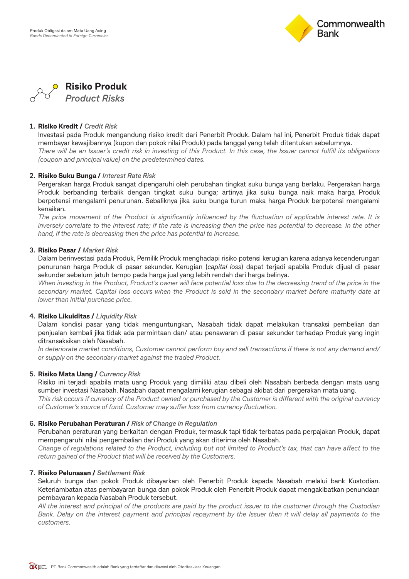



#### **1. Risiko Kredit /** *Credit Risk*

 Investasi pada Produk mengandung risiko kredit dari Penerbit Produk. Dalam hal ini, Penerbit Produk tidak dapat membayar kewajibannya (kupon dan pokok nilai Produk) pada tanggal yang telah ditentukan sebelumnya.  *There will be an Issuer's credit risk in investing of this Product. In this case, the Issuer cannot fulfill its obligations (coupon and principal value) on the predetermined dates.*

#### **2. Risiko Suku Bunga /** *Interest Rate Risk*

 Pergerakan harga Produk sangat dipengaruhi oleh perubahan tingkat suku bunga yang berlaku. Pergerakan harga Produk berbanding terbalik dengan tingkat suku bunga; artinya jika suku bunga naik maka harga Produk berpotensi mengalami penurunan. Sebaliknya jika suku bunga turun maka harga Produk berpotensi mengalami kenaikan.

 *The price movement of the Product is significantly influenced by the fluctuation of applicable interest rate. It is inversely correlate to the interest rate; if the rate is increasing then the price has potential to decrease. In the other hand, if the rate is decreasing then the price has potential to increase.*

#### **3. Risiko Pasar /** *Market Risk*

 Dalam berinvestasi pada Produk, Pemilik Produk menghadapi risiko potensi kerugian karena adanya kecenderungan penurunan harga Produk di pasar sekunder. Kerugian (*capital loss*) dapat terjadi apabila Produk dijual di pasar sekunder sebelum jatuh tempo pada harga jual yang lebih rendah dari harga belinya.

 *When investing in the Product, Product's owner will face potential loss due to the decreasing trend of the price in the secondary market. Capital loss occurs when the Product is sold in the secondary market before maturity date at lower than initial purchase price.*

#### **4. Risiko Likuiditas /** *Liquidity Risk*

 Dalam kondisi pasar yang tidak menguntungkan, Nasabah tidak dapat melakukan transaksi pembelian dan penjualan kembali jika tidak ada permintaan dan/ atau penawaran di pasar sekunder terhadap Produk yang ingin ditransaksikan oleh Nasabah.

 *In deteriorate market conditions, Customer cannot perform buy and sell transactions if there is not any demand and/ or supply on the secondary market against the traded Product.*

#### **5. Risiko Mata Uang /** *Currency Risk*

 Risiko ini terjadi apabila mata uang Produk yang dimiliki atau dibeli oleh Nasabah berbeda dengan mata uang sumber investasi Nasabah. Nasabah dapat mengalami kerugian sebagai akibat dari pergerakan mata uang. *This risk occurs if currency of the Product owned or purchased by the Customer is different with the original currency* of Customer's source of fund. Customer may suffer loss from currency fluctuation.

#### **6. Risiko Perubahan Peraturan /** *Risk of Change in Regulation*

 Perubahan peraturan yang berkaitan dengan Produk, termasuk tapi tidak terbatas pada perpajakan Produk, dapat mempengaruhi nilai pengembalian dari Produk yang akan diterima oleh Nasabah.

Change of regulations related to the Product, including but not limited to Product's tax, that can have affect to the  *return gained of the Product that will be received by the Customers.*

#### **7. Risiko Pelunasan /** *Settlement Risk*

 Seluruh bunga dan pokok Produk dibayarkan oleh Penerbit Produk kapada Nasabah melalui bank Kustodian. Keterlambatan atas pembayaran bunga dan pokok Produk oleh Penerbit Produk dapat mengakibatkan penundaan pembayaran kepada Nasabah Produk tersebut.

 *All the interest and principal of the products are paid by the product issuer to the customer through the Custodian Bank. Delay on the interest payment and principal repayment by the Issuer then it will delay all payments to the customers.*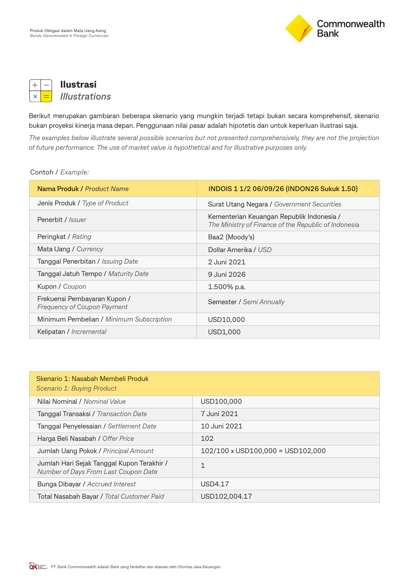



**Ilustrasi** *Illustrations*

Berikut merupakan gambaran beberapa skenario yang mungkin terjadi tetapi bukan secara komprehensif, skenario bukan proyeksi kinerja masa depan. Penggunaan nilai pasar adalah hipotetis dan untuk keperluan ilustrasi saja.

*The examples below illustrate several possible scenarios but not presented comprehensively, they are not the projection of future performance. The use of market value is hypothetical and for illustrative purposes only.*

#### Contoh / *Example:*

| Nama Produk / Product Name                                         | INDOIS 1 1/2 06/09/26 (INDON26 Sukuk 1.50)                                                        |
|--------------------------------------------------------------------|---------------------------------------------------------------------------------------------------|
| Jenis Produk / Type of Product                                     | Surat Utang Negara / Government Securities                                                        |
| Penerbit / <i>Issuer</i>                                           | Kementerian Keuangan Republik Indonesia /<br>The Ministry of Finance of the Republic of Indonesia |
| Peringkat / Rating                                                 | Baa2 (Moody's)                                                                                    |
| Mata Uang / Currency                                               | Dollar Amerika / USD                                                                              |
| Tanggal Penerbitan / Issuing Date                                  | 2 Juni 2021                                                                                       |
| Tanggal Jatuh Tempo / Maturity Date                                | 9 Juni 2026                                                                                       |
| Kupon / Coupon                                                     | 1.500% p.a.                                                                                       |
| Frekuensi Pembayaran Kupon /<br><b>Frequency of Coupon Payment</b> | Semester / Semi Annually                                                                          |
| Minimum Pembelian / Minimum Subscription                           | USD10,000                                                                                         |
| Kelipatan / Incremental                                            | USD1,000                                                                                          |

| Skenario 1: Nasabah Membeli Produk<br>Scenario 1: Buying Product                   |                                                        |
|------------------------------------------------------------------------------------|--------------------------------------------------------|
| Nilai Nominal / Nominal Value                                                      | USD100,000                                             |
| Tanggal Transaksi / Transaction Date                                               | 7 Juni 2021                                            |
| Tanggal Penyelesaian / Settlement Date                                             | 10 Juni 2021                                           |
| Harga Beli Nasabah / Offer Price                                                   | 102                                                    |
| Jumlah Uang Pokok / Principal Amount                                               | $102/100 \times \text{USD100,000} = \text{USD102,000}$ |
| Jumlah Hari Sejak Tanggal Kupon Terakhir /<br>Number of Days From Last Coupon Date | 1                                                      |
| Bunga Dibayar / Accrued Interest                                                   | <b>USD4.17</b>                                         |
| Total Nasabah Bayar / Total Customer Paid                                          | USD102,004.17                                          |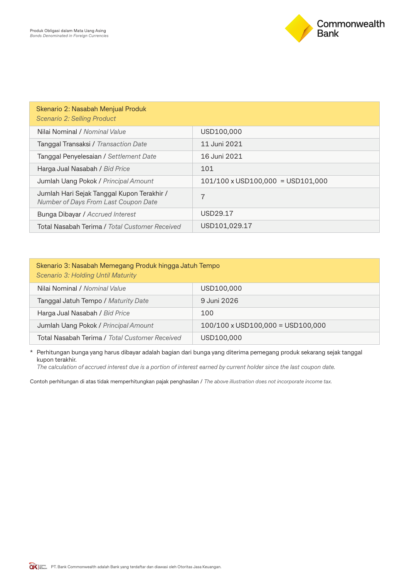

| Skenario 2: Nasabah Menjual Produk<br>Scenario 2: Selling Product                  |                                                        |
|------------------------------------------------------------------------------------|--------------------------------------------------------|
| Nilai Nominal / Nominal Value                                                      | USD100,000                                             |
| Tanggal Transaksi / Transaction Date                                               | 11 Juni 2021                                           |
| Tanggal Penyelesaian / Settlement Date                                             | 16 Juni 2021                                           |
| Harga Jual Nasabah / Bid Price                                                     | 101                                                    |
| Jumlah Uang Pokok / Principal Amount                                               | $101/100 \times \text{USD100,000} = \text{USD101,000}$ |
| Jumlah Hari Sejak Tanggal Kupon Terakhir /<br>Number of Days From Last Coupon Date | 7                                                      |
| Bunga Dibayar / Accrued Interest                                                   | USD29.17                                               |
| Total Nasabah Terima / Total Customer Received                                     | USD101.029.17                                          |

| Skenario 3: Nasabah Memegang Produk hingga Jatuh Tempo<br>Scenario 3: Holding Until Maturity |                                                        |  |
|----------------------------------------------------------------------------------------------|--------------------------------------------------------|--|
| Nilai Nominal / Nominal Value                                                                | USD100,000                                             |  |
| Tanggal Jatuh Tempo / Maturity Date                                                          | 9 Juni 2026                                            |  |
| Harga Jual Nasabah / Bid Price                                                               | 100                                                    |  |
| Jumlah Uang Pokok / Principal Amount                                                         | $100/100 \times \text{USD100,000} = \text{USD100,000}$ |  |
| Total Nasabah Terima / Total Customer Received                                               | USD100,000                                             |  |

\* Perhitungan bunga yang harus dibayar adalah bagian dari bunga yang diterima pemegang produk sekarang sejak tanggal kupon terakhir.

 *The calculation of accrued interest due is a portion of interest earned by current holder since the last coupon date.*

Contoh perhitungan di atas tidak memperhitungkan pajak penghasilan / *The above illustration does not incorporate income tax.*